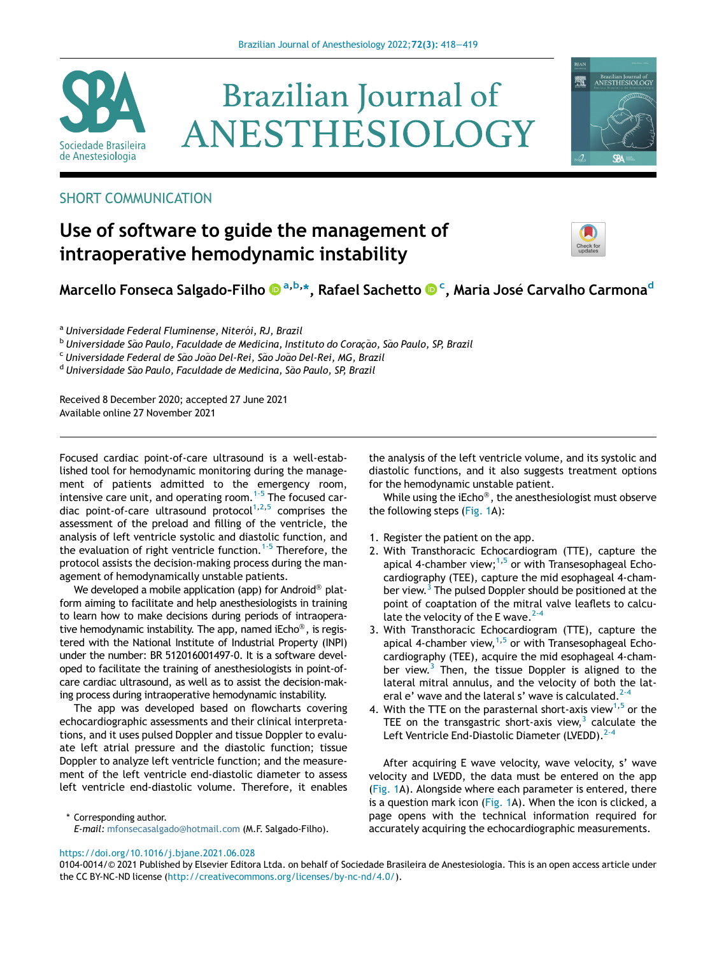

# **Brazilian Journal of** ANESTHESIOLOGY



## SHORT COMMUNICATION

## Use of software to guide the management of intraoperative hemodynamic instability



## Marcello Fonseca Salgado-Filho ® <sup>[a,b,](http://orcid.org/0000-0001-8285-0356)</sup>[\\*](http://orcid.org/0000-0001-8285-0356)[, Rafael Sachetto](http://orcid.org/0000-0003-0800-5984) ® <sup>[c](http://orcid.org/0000-0003-0800-5984)</sup>, Maria José [Carvalho](http://orcid.org/0000-0003-0800-5984) [Carmona](http://orcid.org/0000-0003-0800-5984)<sup>d</sup>

<sup>a</sup> Universidade Federal Fluminense, Niterói, RJ, Brazil

<sup>b</sup> Universidade São Paulo, Faculdade de Medicina, Instituto do Coração, São Paulo, SP, Brazil

<sup>c</sup> Universidade Federal de São João Del-Rei, São João Del-Rei, MG, Brazil

<sup>d</sup> Universidade São Paulo, Faculdade de Medicina, São Paulo, SP, Brazil

Received 8 December 2020; accepted 27 June 2021 Available online 27 November 2021

Focused cardiac point-of-care ultrasound is a well-established tool for hemodynamic monitoring during the management of patients admitted to the emergency room, intensive care unit, and operating room.<sup>[1-5](#page-1-0)</sup> The focused car-diac point-of-care ultrasound protocol<sup>[1](#page-1-0),[2](#page-1-1),[5](#page-1-2)</sup> comprises the assessment of the preload and filling of the ventricle, the analysis of left ventricle systolic and diastolic function, and the evaluation of right ventricle function.<sup>[1-5](#page-1-0)</sup> Therefore, the protocol assists the decision-making process during the management of hemodynamically unstable patients.

We developed a mobile application (app) for Android<sup>®</sup> platform aiming to facilitate and help anesthesiologists in training to learn how to make decisions during periods of intraoperative hemodynamic instability. The app, named iEcho $\textcircled{\tiny 8}$ , is registered with the National Institute of Industrial Property (INPI) under the number: BR 512016001497-0. It is a software developed to facilitate the training of anesthesiologists in point-ofcare cardiac ultrasound, as well as to assist the decision-making process during intraoperative hemodynamic instability.

The app was developed based on flowcharts covering echocardiographic assessments and their clinical interpretations, and it uses pulsed Doppler and tissue Doppler to evaluate left atrial pressure and the diastolic function; tissue Doppler to analyze left ventricle function; and the measurement of the left ventricle end-diastolic diameter to assess left ventricle end-diastolic volume. Therefore, it enables

\* Corresponding author. E-mail: [mfonsecasalgado@hotmail.com](mailto:mfonsecasalgado@hotmail.com) (M.F. Salgado-Filho).

the analysis of the left ventricle volume, and its systolic and diastolic functions, and it also suggests treatment options for the hemodynamic unstable patient.

While using the iEcho®, the anesthesiologist must observe the following steps ([Fig. 1](#page-1-3)A):

- 1. Register the patient on the app.
- 2. With Transthoracic Echocardiogram (TTE), capture the apical 4-chamber view; $1,5$  $1,5$  or with Transesophageal Echocardiography (TEE), capture the mid esophageal 4-cham-ber view.<sup>[3](#page-1-4)</sup> The pulsed Doppler should be positioned at the point of coaptation of the mitral valve leaflets to calculate the velocity of the E wave.  $2-4$
- 3. With Transthoracic Echocardiogram (TTE), capture the apical 4-chamber view,  $1.5$  $1.5$  $1.5$  or with Transesophageal Echocardiography (TEE), acquire the mid esophageal 4-chamber view. $3$  Then, the tissue Doppler is aligned to the lateral mitral annulus, and the velocity of both the lateral e' wave and the lateral s' wave is calculated. $2<sup>2</sup>$
- 4. With the TTE on the parasternal short-axis view<sup>[1](#page-1-0)[,5](#page-1-2)</sup> or the TEE on the transgastric short-axis view, $3$  calculate the Left Ventricle End-Diastolic Diameter (LVEDD).<sup>[2-4](#page-1-1)</sup>

After acquiring E wave velocity, wave velocity, s' wave velocity and LVEDD, the data must be entered on the app ([Fig. 1A](#page-1-3)). Alongside where each parameter is entered, there is a question mark icon [\(Fig. 1](#page-1-3)A). When the icon is clicked, a page opens with the technical information required for accurately acquiring the echocardiographic measurements.

#### <https://doi.org/10.1016/j.bjane.2021.06.028>

0104-0014/© 2021 Published by Elsevier Editora Ltda. on behalf of Sociedade Brasileira de Anestesiologia. This is an open access article under the CC BY-NC-ND license ([http://creativecommons.org/licenses/by-nc-nd/4.0/\)](http://creativecommons.org/licenses/by-nc-nd/4.0/).